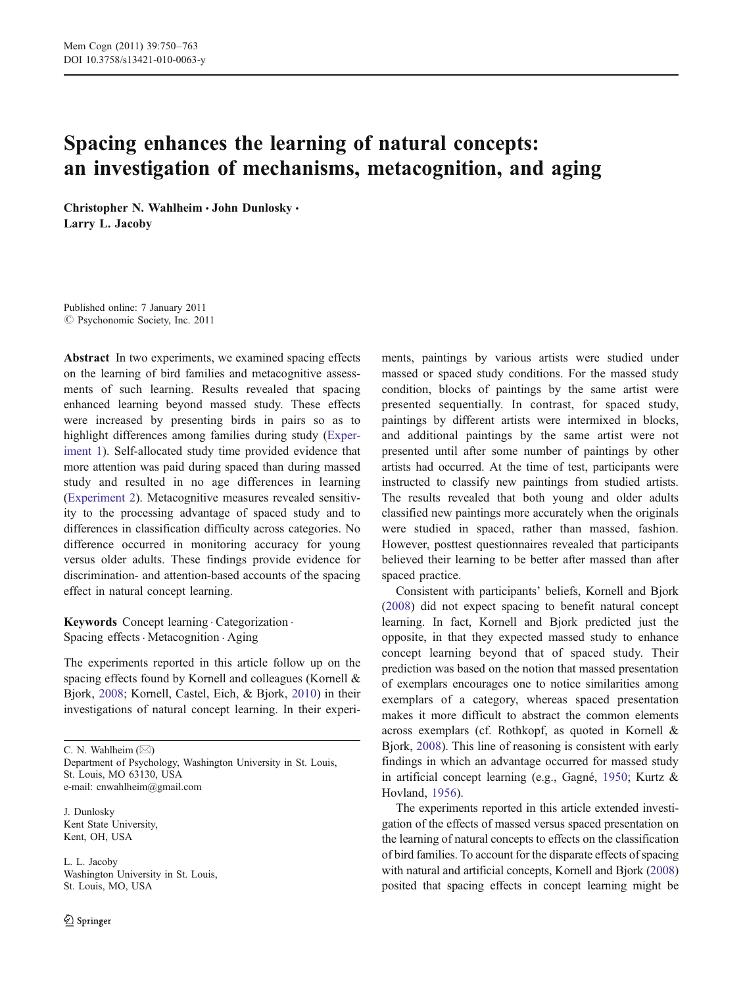# Spacing enhances the learning of natural concepts: an investigation of mechanisms, metacognition, and aging

Christopher N. Wahlheim · John Dunlosky · Larry L. Jacoby

Published online: 7 January 2011  $\odot$  Psychonomic Society, Inc. 2011

Abstract In two experiments, we examined spacing effects on the learning of bird families and metacognitive assessments of such learning. Results revealed that spacing enhanced learning beyond massed study. These effects were increased by presenting birds in pairs so as to highlight differences among families during study [\(Exper](#page-2-0)[iment 1](#page-2-0)). Self-allocated study time provided evidence that more attention was paid during spaced than during massed study and resulted in no age differences in learning [\(Experiment 2\)](#page-6-0). Metacognitive measures revealed sensitivity to the processing advantage of spaced study and to differences in classification difficulty across categories. No difference occurred in monitoring accuracy for young versus older adults. These findings provide evidence for discrimination- and attention-based accounts of the spacing effect in natural concept learning.

Keywords Concept learning . Categorization . Spacing effects · Metacognition · Aging

The experiments reported in this article follow up on the spacing effects found by Kornell and colleagues (Kornell & Bjork, [2008](#page-12-0); Kornell, Castel, Eich, & Bjork, [2010\)](#page-12-0) in their investigations of natural concept learning. In their experi-

C. N. Wahlheim  $(\boxtimes)$ 

Department of Psychology, Washington University in St. Louis, St. Louis, MO 63130, USA e-mail: cnwahlheim@gmail.com

J. Dunlosky Kent State University, Kent, OH, USA

L. L. Jacoby Washington University in St. Louis, St. Louis, MO, USA

ments, paintings by various artists were studied under massed or spaced study conditions. For the massed study condition, blocks of paintings by the same artist were presented sequentially. In contrast, for spaced study, paintings by different artists were intermixed in blocks, and additional paintings by the same artist were not presented until after some number of paintings by other artists had occurred. At the time of test, participants were instructed to classify new paintings from studied artists. The results revealed that both young and older adults classified new paintings more accurately when the originals were studied in spaced, rather than massed, fashion. However, posttest questionnaires revealed that participants believed their learning to be better after massed than after spaced practice.

Consistent with participants' beliefs, Kornell and Bjork [\(2008](#page-12-0)) did not expect spacing to benefit natural concept learning. In fact, Kornell and Bjork predicted just the opposite, in that they expected massed study to enhance concept learning beyond that of spaced study. Their prediction was based on the notion that massed presentation of exemplars encourages one to notice similarities among exemplars of a category, whereas spaced presentation makes it more difficult to abstract the common elements across exemplars (cf. Rothkopf, as quoted in Kornell & Bjork, [2008\)](#page-12-0). This line of reasoning is consistent with early findings in which an advantage occurred for massed study in artificial concept learning (e.g., Gagné, [1950](#page-12-0); Kurtz & Hovland, [1956](#page-13-0)).

The experiments reported in this article extended investigation of the effects of massed versus spaced presentation on the learning of natural concepts to effects on the classification of bird families. To account for the disparate effects of spacing with natural and artificial concepts, Kornell and Bjork [\(2008](#page-12-0)) posited that spacing effects in concept learning might be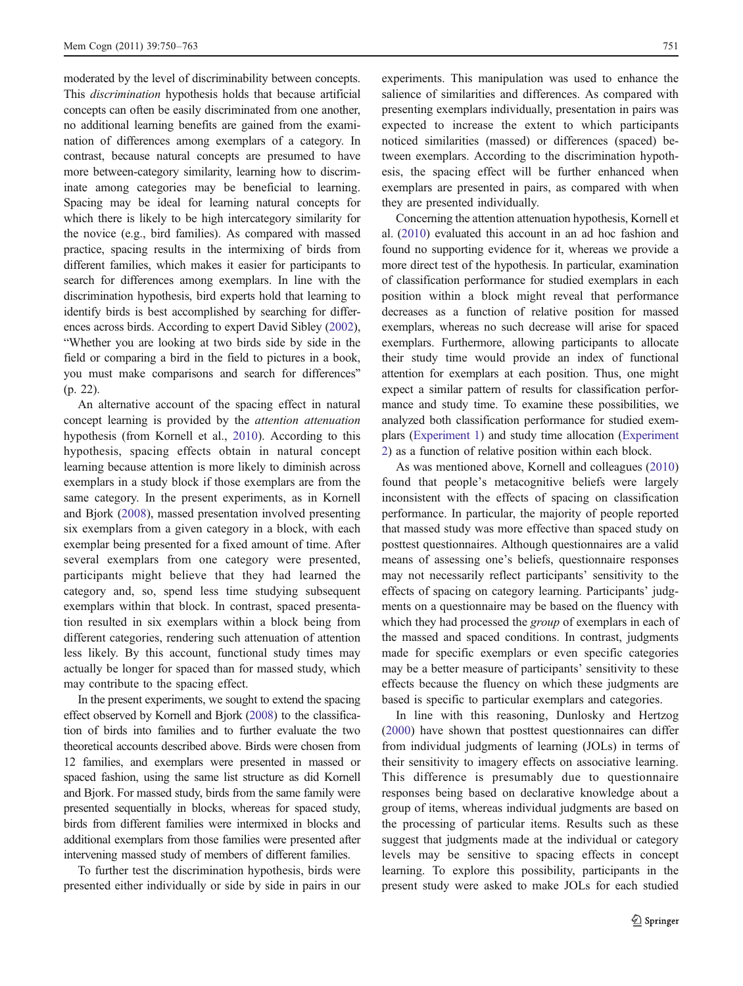moderated by the level of discriminability between concepts. This discrimination hypothesis holds that because artificial concepts can often be easily discriminated from one another, no additional learning benefits are gained from the examination of differences among exemplars of a category. In contrast, because natural concepts are presumed to have more between-category similarity, learning how to discriminate among categories may be beneficial to learning. Spacing may be ideal for learning natural concepts for which there is likely to be high intercategory similarity for the novice (e.g., bird families). As compared with massed practice, spacing results in the intermixing of birds from different families, which makes it easier for participants to search for differences among exemplars. In line with the discrimination hypothesis, bird experts hold that learning to identify birds is best accomplished by searching for differences across birds. According to expert David Sibley ([2002\)](#page-13-0), "Whether you are looking at two birds side by side in the field or comparing a bird in the field to pictures in a book, you must make comparisons and search for differences" (p. 22).

An alternative account of the spacing effect in natural concept learning is provided by the attention attenuation hypothesis (from Kornell et al., [2010\)](#page-12-0). According to this hypothesis, spacing effects obtain in natural concept learning because attention is more likely to diminish across exemplars in a study block if those exemplars are from the same category. In the present experiments, as in Kornell and Bjork ([2008](#page-12-0)), massed presentation involved presenting six exemplars from a given category in a block, with each exemplar being presented for a fixed amount of time. After several exemplars from one category were presented, participants might believe that they had learned the category and, so, spend less time studying subsequent exemplars within that block. In contrast, spaced presentation resulted in six exemplars within a block being from different categories, rendering such attenuation of attention less likely. By this account, functional study times may actually be longer for spaced than for massed study, which may contribute to the spacing effect.

In the present experiments, we sought to extend the spacing effect observed by Kornell and Bjork [\(2008](#page-12-0)) to the classification of birds into families and to further evaluate the two theoretical accounts described above. Birds were chosen from 12 families, and exemplars were presented in massed or spaced fashion, using the same list structure as did Kornell and Bjork. For massed study, birds from the same family were presented sequentially in blocks, whereas for spaced study, birds from different families were intermixed in blocks and additional exemplars from those families were presented after intervening massed study of members of different families.

To further test the discrimination hypothesis, birds were presented either individually or side by side in pairs in our experiments. This manipulation was used to enhance the salience of similarities and differences. As compared with presenting exemplars individually, presentation in pairs was expected to increase the extent to which participants noticed similarities (massed) or differences (spaced) between exemplars. According to the discrimination hypothesis, the spacing effect will be further enhanced when exemplars are presented in pairs, as compared with when they are presented individually.

Concerning the attention attenuation hypothesis, Kornell et al. [\(2010\)](#page-12-0) evaluated this account in an ad hoc fashion and found no supporting evidence for it, whereas we provide a more direct test of the hypothesis. In particular, examination of classification performance for studied exemplars in each position within a block might reveal that performance decreases as a function of relative position for massed exemplars, whereas no such decrease will arise for spaced exemplars. Furthermore, allowing participants to allocate their study time would provide an index of functional attention for exemplars at each position. Thus, one might expect a similar pattern of results for classification performance and study time. To examine these possibilities, we analyzed both classification performance for studied exemplars [\(Experiment 1](#page-2-0)) and study time allocation [\(Experiment](#page-6-0) [2](#page-6-0)) as a function of relative position within each block.

As was mentioned above, Kornell and colleagues [\(2010](#page-12-0)) found that people's metacognitive beliefs were largely inconsistent with the effects of spacing on classification performance. In particular, the majority of people reported that massed study was more effective than spaced study on posttest questionnaires. Although questionnaires are a valid means of assessing one's beliefs, questionnaire responses may not necessarily reflect participants' sensitivity to the effects of spacing on category learning. Participants' judgments on a questionnaire may be based on the fluency with which they had processed the *group* of exemplars in each of the massed and spaced conditions. In contrast, judgments made for specific exemplars or even specific categories may be a better measure of participants' sensitivity to these effects because the fluency on which these judgments are based is specific to particular exemplars and categories.

In line with this reasoning, Dunlosky and Hertzog [\(2000](#page-12-0)) have shown that posttest questionnaires can differ from individual judgments of learning (JOLs) in terms of their sensitivity to imagery effects on associative learning. This difference is presumably due to questionnaire responses being based on declarative knowledge about a group of items, whereas individual judgments are based on the processing of particular items. Results such as these suggest that judgments made at the individual or category levels may be sensitive to spacing effects in concept learning. To explore this possibility, participants in the present study were asked to make JOLs for each studied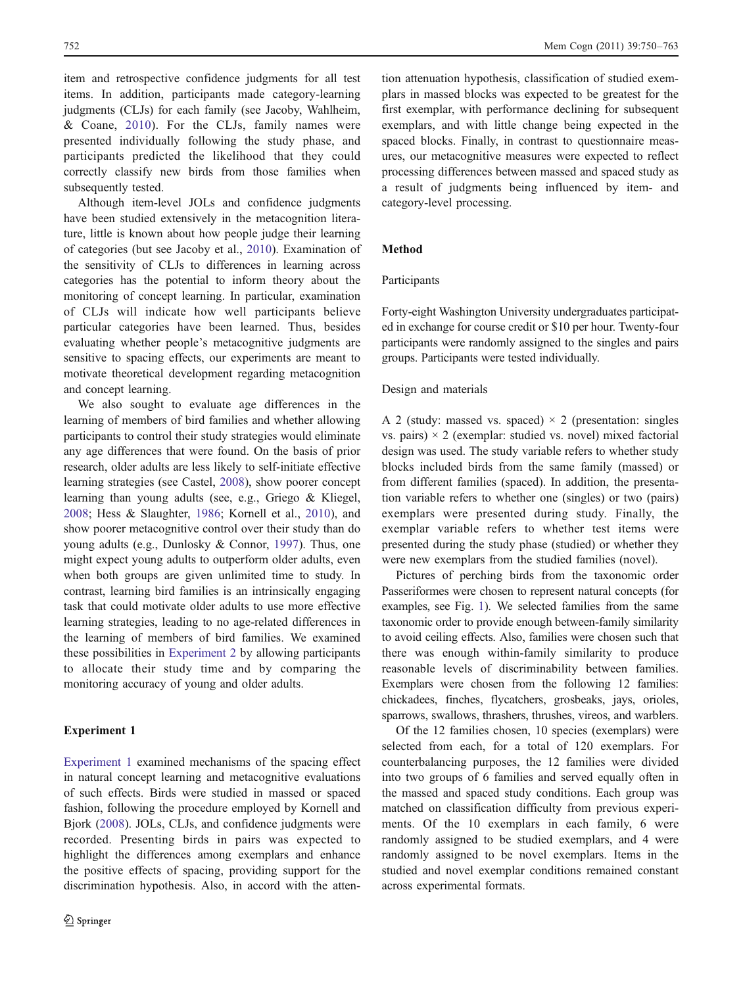<span id="page-2-0"></span>item and retrospective confidence judgments for all test items. In addition, participants made category-learning judgments (CLJs) for each family (see Jacoby, Wahlheim, & Coane, [2010](#page-12-0)). For the CLJs, family names were presented individually following the study phase, and participants predicted the likelihood that they could correctly classify new birds from those families when subsequently tested.

Although item-level JOLs and confidence judgments have been studied extensively in the metacognition literature, little is known about how people judge their learning of categories (but see Jacoby et al., [2010\)](#page-12-0). Examination of the sensitivity of CLJs to differences in learning across categories has the potential to inform theory about the monitoring of concept learning. In particular, examination of CLJs will indicate how well participants believe particular categories have been learned. Thus, besides evaluating whether people's metacognitive judgments are sensitive to spacing effects, our experiments are meant to motivate theoretical development regarding metacognition and concept learning.

We also sought to evaluate age differences in the learning of members of bird families and whether allowing participants to control their study strategies would eliminate any age differences that were found. On the basis of prior research, older adults are less likely to self-initiate effective learning strategies (see Castel, [2008](#page-12-0)), show poorer concept learning than young adults (see, e.g., Griego & Kliegel, [2008;](#page-12-0) Hess & Slaughter, [1986;](#page-12-0) Kornell et al., [2010\)](#page-12-0), and show poorer metacognitive control over their study than do young adults (e.g., Dunlosky & Connor, [1997\)](#page-12-0). Thus, one might expect young adults to outperform older adults, even when both groups are given unlimited time to study. In contrast, learning bird families is an intrinsically engaging task that could motivate older adults to use more effective learning strategies, leading to no age-related differences in the learning of members of bird families. We examined these possibilities in [Experiment 2](#page-6-0) by allowing participants to allocate their study time and by comparing the monitoring accuracy of young and older adults.

# Experiment 1

Experiment 1 examined mechanisms of the spacing effect in natural concept learning and metacognitive evaluations of such effects. Birds were studied in massed or spaced fashion, following the procedure employed by Kornell and Bjork ([2008\)](#page-12-0). JOLs, CLJs, and confidence judgments were recorded. Presenting birds in pairs was expected to highlight the differences among exemplars and enhance the positive effects of spacing, providing support for the discrimination hypothesis. Also, in accord with the atten-

tion attenuation hypothesis, classification of studied exemplars in massed blocks was expected to be greatest for the first exemplar, with performance declining for subsequent exemplars, and with little change being expected in the spaced blocks. Finally, in contrast to questionnaire measures, our metacognitive measures were expected to reflect processing differences between massed and spaced study as a result of judgments being influenced by item- and category-level processing.

# Method

# Participants

Forty-eight Washington University undergraduates participated in exchange for course credit or \$10 per hour. Twenty-four participants were randomly assigned to the singles and pairs groups. Participants were tested individually.

#### Design and materials

A 2 (study: massed vs. spaced)  $\times$  2 (presentation: singles vs. pairs)  $\times$  2 (exemplar: studied vs. novel) mixed factorial design was used. The study variable refers to whether study blocks included birds from the same family (massed) or from different families (spaced). In addition, the presentation variable refers to whether one (singles) or two (pairs) exemplars were presented during study. Finally, the exemplar variable refers to whether test items were presented during the study phase (studied) or whether they were new exemplars from the studied families (novel).

Pictures of perching birds from the taxonomic order Passeriformes were chosen to represent natural concepts (for examples, see Fig. [1](#page-3-0)). We selected families from the same taxonomic order to provide enough between-family similarity to avoid ceiling effects. Also, families were chosen such that there was enough within-family similarity to produce reasonable levels of discriminability between families. Exemplars were chosen from the following 12 families: chickadees, finches, flycatchers, grosbeaks, jays, orioles, sparrows, swallows, thrashers, thrushes, vireos, and warblers.

Of the 12 families chosen, 10 species (exemplars) were selected from each, for a total of 120 exemplars. For counterbalancing purposes, the 12 families were divided into two groups of 6 families and served equally often in the massed and spaced study conditions. Each group was matched on classification difficulty from previous experiments. Of the 10 exemplars in each family, 6 were randomly assigned to be studied exemplars, and 4 were randomly assigned to be novel exemplars. Items in the studied and novel exemplar conditions remained constant across experimental formats.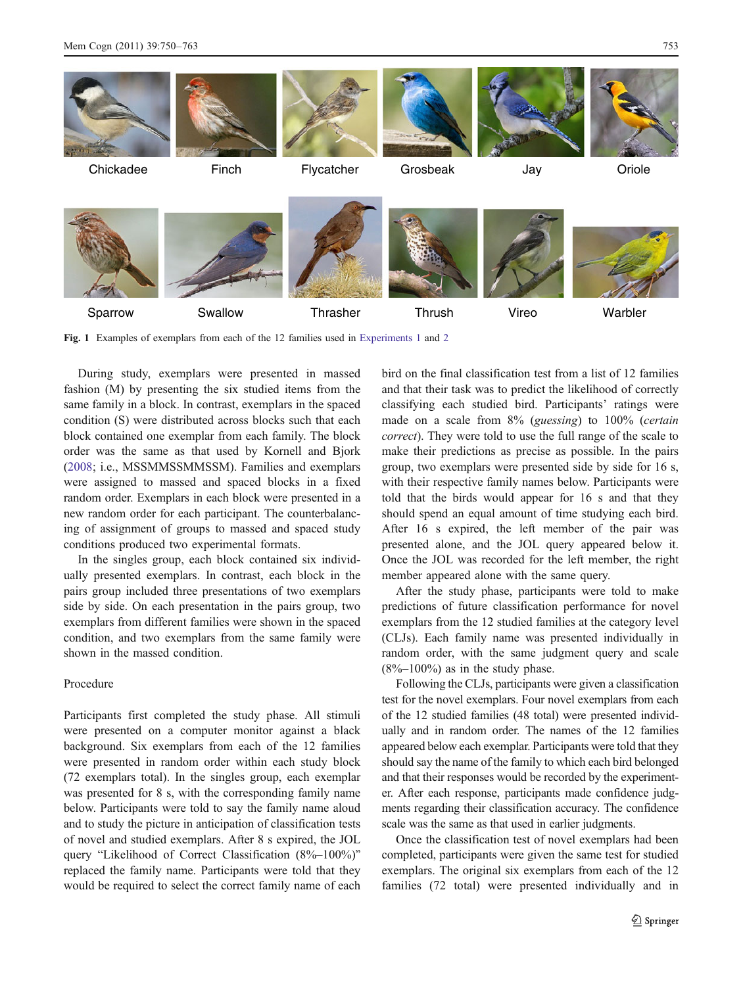<span id="page-3-0"></span>

Fig. 1 Examples of exemplars from each of the 12 families used in [Experiments 1](#page-2-0) and [2](#page-6-0)

During study, exemplars were presented in massed fashion (M) by presenting the six studied items from the same family in a block. In contrast, exemplars in the spaced condition (S) were distributed across blocks such that each block contained one exemplar from each family. The block order was the same as that used by Kornell and Bjork [\(2008](#page-12-0); i.e., MSSMMSSMMSSM). Families and exemplars were assigned to massed and spaced blocks in a fixed random order. Exemplars in each block were presented in a new random order for each participant. The counterbalancing of assignment of groups to massed and spaced study conditions produced two experimental formats.

In the singles group, each block contained six individually presented exemplars. In contrast, each block in the pairs group included three presentations of two exemplars side by side. On each presentation in the pairs group, two exemplars from different families were shown in the spaced condition, and two exemplars from the same family were shown in the massed condition.

# Procedure

Participants first completed the study phase. All stimuli were presented on a computer monitor against a black background. Six exemplars from each of the 12 families were presented in random order within each study block (72 exemplars total). In the singles group, each exemplar was presented for 8 s, with the corresponding family name below. Participants were told to say the family name aloud and to study the picture in anticipation of classification tests of novel and studied exemplars. After 8 s expired, the JOL query "Likelihood of Correct Classification (8%–100%)" replaced the family name. Participants were told that they would be required to select the correct family name of each bird on the final classification test from a list of 12 families and that their task was to predict the likelihood of correctly classifying each studied bird. Participants' ratings were made on a scale from 8% (guessing) to 100% (certain correct). They were told to use the full range of the scale to make their predictions as precise as possible. In the pairs group, two exemplars were presented side by side for 16 s, with their respective family names below. Participants were told that the birds would appear for 16 s and that they should spend an equal amount of time studying each bird. After 16 s expired, the left member of the pair was presented alone, and the JOL query appeared below it. Once the JOL was recorded for the left member, the right member appeared alone with the same query.

After the study phase, participants were told to make predictions of future classification performance for novel exemplars from the 12 studied families at the category level (CLJs). Each family name was presented individually in random order, with the same judgment query and scale  $(8\% - 100\%)$  as in the study phase.

Following the CLJs, participants were given a classification test for the novel exemplars. Four novel exemplars from each of the 12 studied families (48 total) were presented individually and in random order. The names of the 12 families appeared below each exemplar. Participants were told that they should say the name of the family to which each bird belonged and that their responses would be recorded by the experimenter. After each response, participants made confidence judgments regarding their classification accuracy. The confidence scale was the same as that used in earlier judgments.

Once the classification test of novel exemplars had been completed, participants were given the same test for studied exemplars. The original six exemplars from each of the 12 families (72 total) were presented individually and in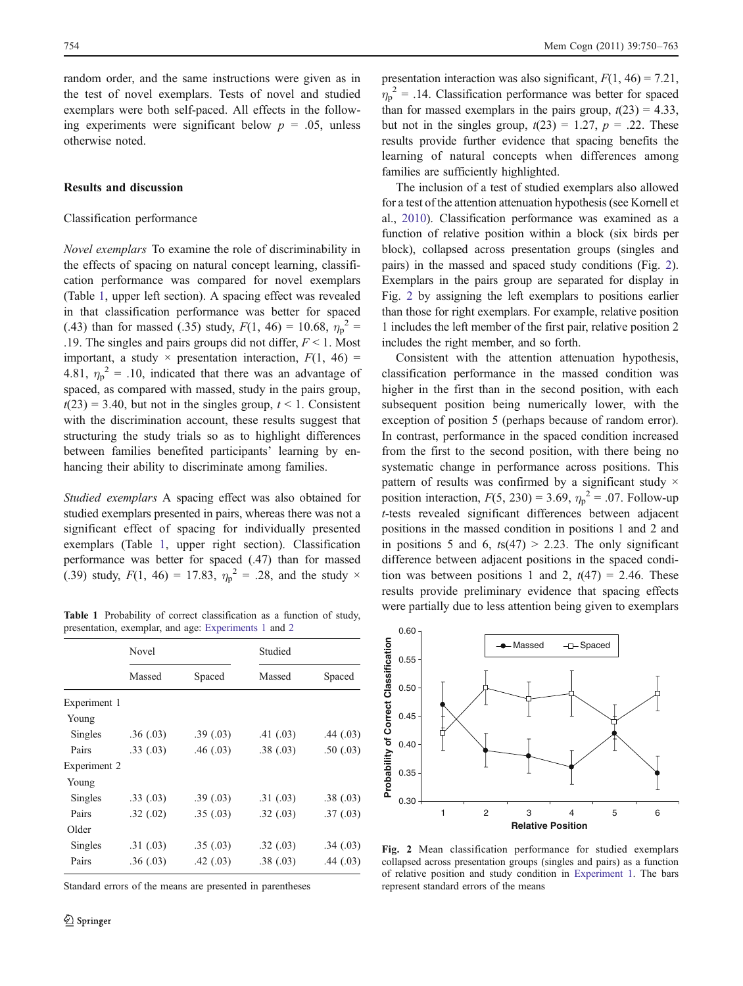<span id="page-4-0"></span>random order, and the same instructions were given as in the test of novel exemplars. Tests of novel and studied exemplars were both self-paced. All effects in the following experiments were significant below  $p = 0.05$ , unless otherwise noted.

# Results and discussion

## Classification performance

Novel exemplars To examine the role of discriminability in the effects of spacing on natural concept learning, classification performance was compared for novel exemplars (Table 1, upper left section). A spacing effect was revealed in that classification performance was better for spaced (.43) than for massed (.35) study,  $F(1, 46) = 10.68$ ,  $\eta_p^2 =$ .19. The singles and pairs groups did not differ,  $F \le 1$ . Most important, a study  $\times$  presentation interaction,  $F(1, 46) =$ 4.81,  $\eta_p^2 = 0.10$ , indicated that there was an advantage of spaced, as compared with massed, study in the pairs group,  $t(23) = 3.40$ , but not in the singles group,  $t \le 1$ . Consistent with the discrimination account, these results suggest that structuring the study trials so as to highlight differences between families benefited participants' learning by enhancing their ability to discriminate among families.

Studied exemplars A spacing effect was also obtained for studied exemplars presented in pairs, whereas there was not a significant effect of spacing for individually presented exemplars (Table 1, upper right section). Classification performance was better for spaced (.47) than for massed (.39) study,  $F(1, 46) = 17.83$ ,  $\eta_p^2 = .28$ , and the study  $\times$ 

Table 1 Probability of correct classification as a function of study, presentation, exemplar, and age: [Experiments 1](#page-2-0) and [2](#page-6-0)

|              | Novel    |          | Studied   |           |  |
|--------------|----------|----------|-----------|-----------|--|
|              | Massed   | Spaced   | Massed    | Spaced    |  |
| Experiment 1 |          |          |           |           |  |
| Young        |          |          |           |           |  |
| Singles      | .36(.03) | .39(.03) | .41(0.03) | .44(03)   |  |
| Pairs        | .33(.03) | .46(.03) | .38(.03)  | .50(0.03) |  |
| Experiment 2 |          |          |           |           |  |
| Young        |          |          |           |           |  |
| Singles      | .33(.03) | .39(.03) | .31(0.03) | .38(.03)  |  |
| Pairs        | .32(.02) | .35(.03) | .32(.03)  | .37(0.03) |  |
| Older        |          |          |           |           |  |
| Singles      | .31(.03) | .35(.03) | .32(.03)  | .34(0.03) |  |
| Pairs        | .36(.03) | .42(03)  | .38(.03)  | .44(.03)  |  |

Standard errors of the means are presented in parentheses

presentation interaction was also significant,  $F(1, 46) = 7.21$ ,  $\eta_p^2$  = .14. Classification performance was better for spaced than for massed exemplars in the pairs group,  $t(23) = 4.33$ , but not in the singles group,  $t(23) = 1.27$ ,  $p = .22$ . These results provide further evidence that spacing benefits the learning of natural concepts when differences among families are sufficiently highlighted.

The inclusion of a test of studied exemplars also allowed for a test of the attention attenuation hypothesis (see Kornell et al., [2010\)](#page-12-0). Classification performance was examined as a function of relative position within a block (six birds per block), collapsed across presentation groups (singles and pairs) in the massed and spaced study conditions (Fig. 2). Exemplars in the pairs group are separated for display in Fig. 2 by assigning the left exemplars to positions earlier than those for right exemplars. For example, relative position 1 includes the left member of the first pair, relative position 2 includes the right member, and so forth.

Consistent with the attention attenuation hypothesis, classification performance in the massed condition was higher in the first than in the second position, with each subsequent position being numerically lower, with the exception of position 5 (perhaps because of random error). In contrast, performance in the spaced condition increased from the first to the second position, with there being no systematic change in performance across positions. This pattern of results was confirmed by a significant study  $\times$ position interaction,  $F(5, 230) = 3.69$ ,  $\eta_p^2 = .07$ . Follow-up t-tests revealed significant differences between adjacent positions in the massed condition in positions 1 and 2 and in positions 5 and 6,  $t s(47) > 2.23$ . The only significant difference between adjacent positions in the spaced condition was between positions 1 and 2,  $t(47) = 2.46$ . These results provide preliminary evidence that spacing effects were partially due to less attention being given to exemplars



Fig. 2 Mean classification performance for studied exemplars collapsed across presentation groups (singles and pairs) as a function of relative position and study condition in [Experiment 1.](#page-2-0) The bars represent standard errors of the means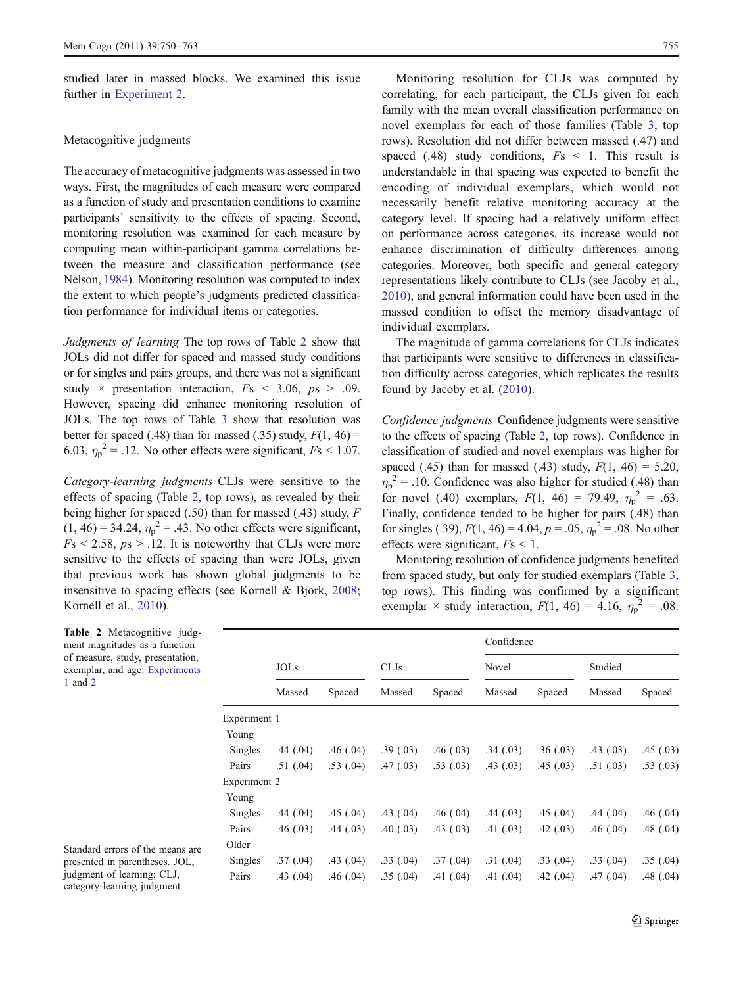<span id="page-5-0"></span>studied later in massed blocks. We examined this issue further in [Experiment 2](#page-6-0).

#### Metacognitive judgments

The accuracy of metacognitive judgments was assessed in two ways. First, the magnitudes of each measure were compared as a function of study and presentation conditions to examine participants' sensitivity to the effects of spacing. Second, monitoring resolution was examined for each measure by computing mean within-participant gamma correlations between the measure and classification performance (see Nelson, [1984\)](#page-13-0). Monitoring resolution was computed to index the extent to which people's judgments predicted classification performance for individual items or categories.

Judgments of learning The top rows of Table 2 show that JOLs did not differ for spaced and massed study conditions or for singles and pairs groups, and there was not a significant study  $\times$  presentation interaction,  $Fs < 3.06$ ,  $ps > .09$ . However, spacing did enhance monitoring resolution of JOLs. The top rows of Table [3](#page-6-0) show that resolution was better for spaced (.48) than for massed (.35) study,  $F(1, 46)$  = 6.03,  $\eta_p^2$  = .12. No other effects were significant,  $Fs < 1.07$ .

Category-learning judgments CLJs were sensitive to the effects of spacing (Table 2, top rows), as revealed by their being higher for spaced (.50) than for massed (.43) study, F  $(1, 46) = 34.24$ ,  $\eta_p^2 = .43$ . No other effects were significant,  $Fs \le 2.58$ ,  $ps \ge .12$ . It is noteworthy that CLJs were more sensitive to the effects of spacing than were JOLs, given that previous work has shown global judgments to be insensitive to spacing effects (see Kornell & Bjork, [2008](#page-12-0); Kornell et al., [2010](#page-12-0)).

Monitoring resolution for CLJs was computed by correlating, for each participant, the CLJs given for each family with the mean overall classification performance on novel exemplars for each of those families (Table [3,](#page-6-0) top rows). Resolution did not differ between massed (.47) and spaced (.48) study conditions,  $Fs \leq 1$ . This result is understandable in that spacing was expected to benefit the encoding of individual exemplars, which would not necessarily benefit relative monitoring accuracy at the category level. If spacing had a relatively uniform effect on performance across categories, its increase would not enhance discrimination of difficulty differences among categories. Moreover, both specific and general category representations likely contribute to CLJs (see Jacoby et al., [2010](#page-12-0)), and general information could have been used in the massed condition to offset the memory disadvantage of individual exemplars.

The magnitude of gamma correlations for CLJs indicates that participants were sensitive to differences in classification difficulty across categories, which replicates the results found by Jacoby et al. [\(2010](#page-12-0)).

Confidence judgments Confidence judgments were sensitive to the effects of spacing (Table 2, top rows). Confidence in classification of studied and novel exemplars was higher for spaced (.45) than for massed (.43) study,  $F(1, 46) = 5.20$ ,  $\eta_p^2$  = .10. Confidence was also higher for studied (.48) than for novel (.40) exemplars,  $F(1, 46) = 79.49$ ,  $\eta_p^2 = .63$ . Finally, confidence tended to be higher for pairs (.48) than for singles (.39),  $F(1, 46) = 4.04$ ,  $p = .05$ ,  $\eta_p^2 = .08$ . No other effects were significant,  $Fs < 1$ .

Monitoring resolution of confidence judgments benefited from spaced study, but only for studied exemplars (Table [3,](#page-6-0) top rows). This finding was confirmed by a significant exemplar  $\times$  study interaction,  $F(1, 46) = 4.16$ ,  $\eta_p^2 = .08$ .

|              |             |           |           |           | Confidence |           |           |           |  |
|--------------|-------------|-----------|-----------|-----------|------------|-----------|-----------|-----------|--|
|              | <b>JOLs</b> |           | CLJs      |           | Novel      |           | Studied   |           |  |
|              | Massed      | Spaced    | Massed    | Spaced    | Massed     | Spaced    | Massed    | Spaced    |  |
| Experiment 1 |             |           |           |           |            |           |           |           |  |
| Young        |             |           |           |           |            |           |           |           |  |
| Singles      | .44(.04)    | .46(.04)  | .39(0.03) | .46(0.03) | .34(.03)   | .36(.03)  | .43(0.03) | .45(.03)  |  |
| Pairs        | .51(0.04)   | .53(0.04) | .47(03)   | .53(0.03) | .43(0.03)  | .45(0.03) | .51(0.03) | .53(0.03) |  |
| Experiment 2 |             |           |           |           |            |           |           |           |  |
| Young        |             |           |           |           |            |           |           |           |  |
| Singles      | .44(.04)    | .45(.04)  | .43(0.04) | .46(.04)  | .44(03)    | .45(.04)  | .44(.04)  | .46(.04)  |  |
| Pairs        | .46(.03)    | .44(03)   | .40(0.03) | .43(0.03) | .41(0.03)  | .42(0.03) | .46(0.04) | .48(.04)  |  |
| Older        |             |           |           |           |            |           |           |           |  |
| Singles      | .37(0.04)   | .43(0.04) | .33(.04)  | .37(0.04) | .31(.04)   | .33(0.04) | .33(.04)  | .35(.04)  |  |
| Pairs        | .43(0.04)   | .46(.04)  | .35(0.04) | .41(0.04) | .41(0.04)  | .42(0.04) | .47(0.04) | .48(.04)  |  |

Table 2 Metacognitive judgment magnitudes as a function of measure, study, presentation, exemplar, and age: [Experiments](#page-2-0) [1](#page-2-0) and [2](#page-6-0)

Standard errors of the means are presented in parentheses. JOL, judgment of learning; CLJ, category-learning judgment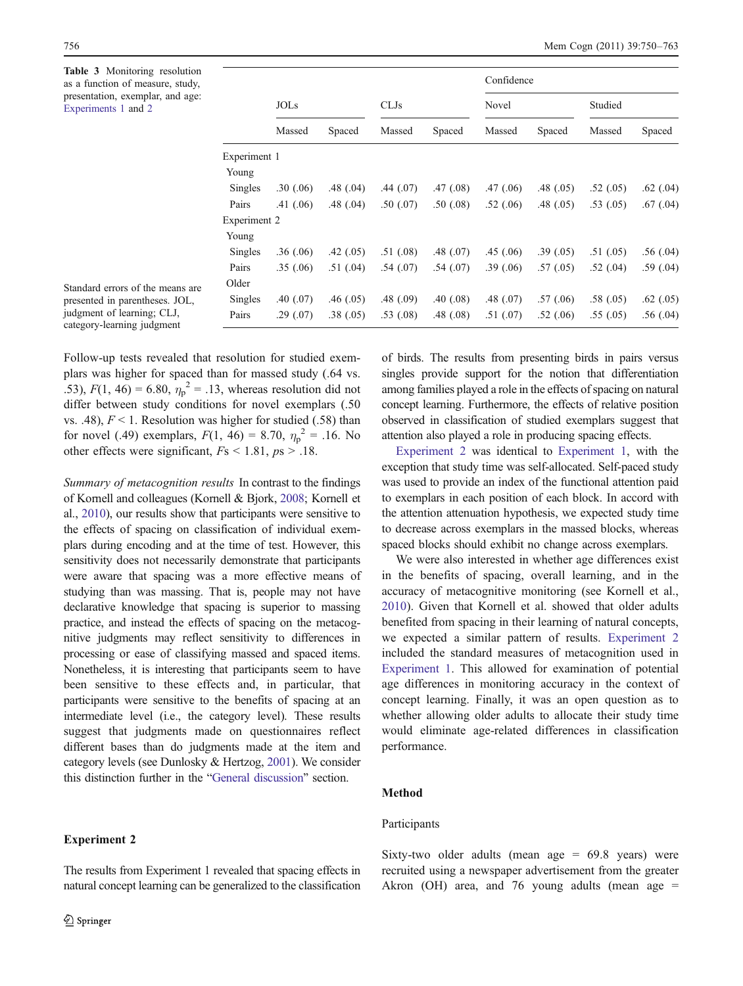<span id="page-6-0"></span>Table 3 Monitoring resolution as a function of measure, study, presentation, exemplar, and age: [Experiments 1](#page-2-0) and 2

|                |             |           |           |           |           | Confidence |           |           |  |
|----------------|-------------|-----------|-----------|-----------|-----------|------------|-----------|-----------|--|
|                | <b>JOLS</b> |           | CLJs      |           | Novel     |            | Studied   |           |  |
|                | Massed      | Spaced    | Massed    | Spaced    | Massed    | Spaced     | Massed    | Spaced    |  |
| Experiment 1   |             |           |           |           |           |            |           |           |  |
| Young          |             |           |           |           |           |            |           |           |  |
| Singles        | .30(.06)    | .48(.04)  | .44(.07)  | .47(0.08) | .47(0.06) | .48(0.05)  | .52(0.05) | .62(.04)  |  |
| Pairs          | .41(.06)    | .48(.04)  | .50(.07)  | .50(0.08) | .52(.06)  | .48(0.05)  | .53(0.05) | .67(0.04) |  |
| Experiment 2   |             |           |           |           |           |            |           |           |  |
| Young          |             |           |           |           |           |            |           |           |  |
| Singles        | .36(.06)    | .42(.05)  | .51(.08)  | .48(.07)  | .45(0.06) | .39(.05)   | .51(0.05) | .56(.04)  |  |
| Pairs          | .35(.06)    | .51(0.04) | .54(.07)  | .54(.07)  | .39(.06)  | .57(0.05)  | .52(0.04) | .59(.04)  |  |
| Older          |             |           |           |           |           |            |           |           |  |
| <b>Singles</b> | .40(0.07)   | .46(.05)  | .48(.09)  | .40(0.08) | .48(.07)  | .57(0.06)  | .58(.05)  | .62(0.05) |  |
| Pairs          | .29(.07)    | .38(.05)  | .53(0.08) | .48(0.08) | .51(.07)  | .52(.06)   | .55(.05)  | .56(.04)  |  |

Standard errors of the means are presented in parentheses. JOL, judgment of learning; CLJ, category-learning judgment

Follow-up tests revealed that resolution for studied exemplars was higher for spaced than for massed study (.64 vs. .53),  $F(1, 46) = 6.80$ ,  $\eta_p^2 = .13$ , whereas resolution did not differ between study conditions for novel exemplars  $(.50)$ vs. .48),  $F < 1$ . Resolution was higher for studied (.58) than for novel (.49) exemplars,  $F(1, 46) = 8.70$ ,  $\eta_p^2 = .16$ . No other effects were significant,  $Fs \le 1.81$ ,  $ps \ge .18$ .

Summary of metacognition results In contrast to the findings of Kornell and colleagues (Kornell & Bjork, [2008](#page-12-0); Kornell et al., [2010\)](#page-12-0), our results show that participants were sensitive to the effects of spacing on classification of individual exemplars during encoding and at the time of test. However, this sensitivity does not necessarily demonstrate that participants were aware that spacing was a more effective means of studying than was massing. That is, people may not have declarative knowledge that spacing is superior to massing practice, and instead the effects of spacing on the metacognitive judgments may reflect sensitivity to differences in processing or ease of classifying massed and spaced items. Nonetheless, it is interesting that participants seem to have been sensitive to these effects and, in particular, that participants were sensitive to the benefits of spacing at an intermediate level (i.e., the category level). These results suggest that judgments made on questionnaires reflect different bases than do judgments made at the item and category levels (see Dunlosky & Hertzog, [2001\)](#page-12-0). We consider this distinction further in the "[General discussion](#page-10-0)" section.

# Experiment 2

of birds. The results from presenting birds in pairs versus singles provide support for the notion that differentiation among families played a role in the effects of spacing on natural concept learning. Furthermore, the effects of relative position observed in classification of studied exemplars suggest that attention also played a role in producing spacing effects.

Experiment 2 was identical to [Experiment 1,](#page-2-0) with the exception that study time was self-allocated. Self-paced study was used to provide an index of the functional attention paid to exemplars in each position of each block. In accord with the attention attenuation hypothesis, we expected study time to decrease across exemplars in the massed blocks, whereas spaced blocks should exhibit no change across exemplars.

We were also interested in whether age differences exist in the benefits of spacing, overall learning, and in the accuracy of metacognitive monitoring (see Kornell et al., [2010](#page-12-0)). Given that Kornell et al. showed that older adults benefited from spacing in their learning of natural concepts, we expected a similar pattern of results. Experiment 2 included the standard measures of metacognition used in [Experiment 1.](#page-2-0) This allowed for examination of potential age differences in monitoring accuracy in the context of concept learning. Finally, it was an open question as to whether allowing older adults to allocate their study time would eliminate age-related differences in classification performance.

# Method

#### Participants

Sixty-two older adults (mean age  $= 69.8$  years) were recruited using a newspaper advertisement from the greater Akron (OH) area, and 76 young adults (mean age  $=$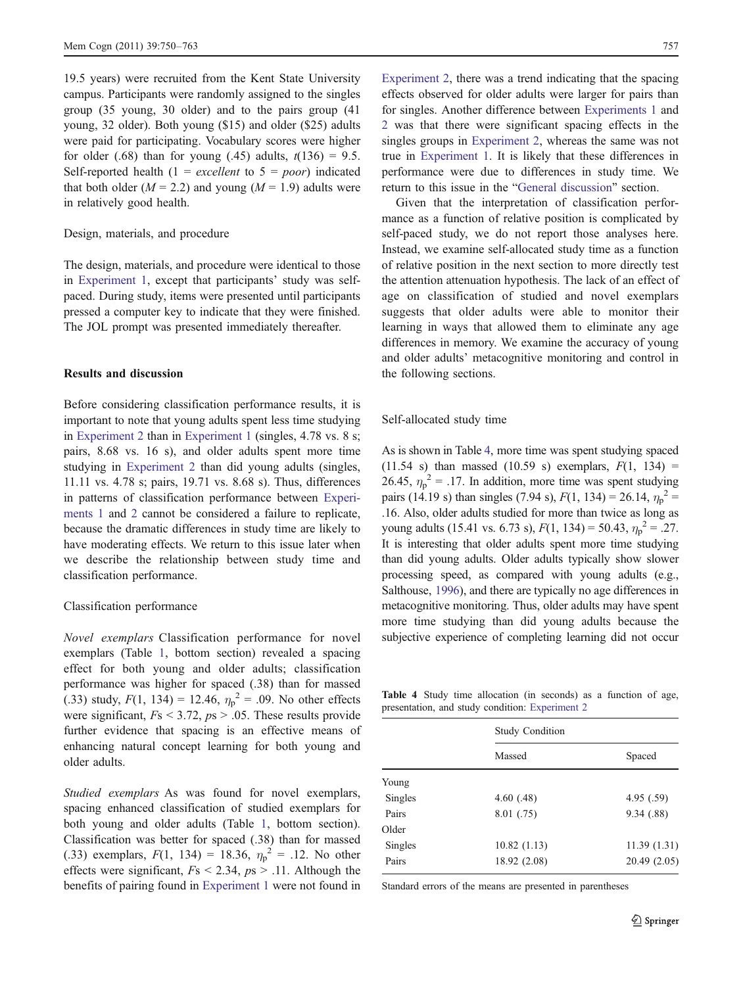19.5 years) were recruited from the Kent State University campus. Participants were randomly assigned to the singles group (35 young, 30 older) and to the pairs group (41 young, 32 older). Both young (\$15) and older (\$25) adults were paid for participating. Vocabulary scores were higher for older (.68) than for young (.45) adults,  $t(136) = 9.5$ . Self-reported health  $(1 = excellent to 5 = poor)$  indicated that both older  $(M = 2.2)$  and young  $(M = 1.9)$  adults were in relatively good health.

#### Design, materials, and procedure

The design, materials, and procedure were identical to those in [Experiment 1,](#page-2-0) except that participants' study was selfpaced. During study, items were presented until participants pressed a computer key to indicate that they were finished. The JOL prompt was presented immediately thereafter.

## Results and discussion

Before considering classification performance results, it is important to note that young adults spent less time studying in [Experiment 2](#page-6-0) than in [Experiment 1](#page-2-0) (singles, 4.78 vs. 8 s; pairs, 8.68 vs. 16 s), and older adults spent more time studying in [Experiment 2](#page-6-0) than did young adults (singles, 11.11 vs. 4.78 s; pairs, 19.71 vs. 8.68 s). Thus, differences in patterns of classification performance between [Experi](#page-2-0)[ments 1](#page-2-0) and [2](#page-6-0) cannot be considered a failure to replicate, because the dramatic differences in study time are likely to have moderating effects. We return to this issue later when we describe the relationship between study time and classification performance.

#### Classification performance

Novel exemplars Classification performance for novel exemplars (Table [1](#page-4-0), bottom section) revealed a spacing effect for both young and older adults; classification performance was higher for spaced (.38) than for massed (.33) study,  $F(1, 134) = 12.46$ ,  $\eta_p^2 = .09$ . No other effects were significant,  $Fs < 3.72$ ,  $ps > .05$ . These results provide further evidence that spacing is an effective means of enhancing natural concept learning for both young and older adults.

Studied exemplars As was found for novel exemplars, spacing enhanced classification of studied exemplars for both young and older adults (Table [1](#page-4-0), bottom section). Classification was better for spaced (.38) than for massed (.33) exemplars,  $F(1, 134) = 18.36$ ,  $\eta_p^2 = .12$ . No other effects were significant,  $Fs \leq 2.34$ ,  $ps \geq .11$ . Although the benefits of pairing found in [Experiment 1](#page-2-0) were not found in

[Experiment 2](#page-6-0), there was a trend indicating that the spacing effects observed for older adults were larger for pairs than for singles. Another difference between [Experiments 1](#page-2-0) and [2](#page-6-0) was that there were significant spacing effects in the singles groups in [Experiment 2,](#page-6-0) whereas the same was not true in [Experiment 1](#page-2-0). It is likely that these differences in performance were due to differences in study time. We return to this issue in the "[General discussion](#page-10-0)" section.

Given that the interpretation of classification performance as a function of relative position is complicated by self-paced study, we do not report those analyses here. Instead, we examine self-allocated study time as a function of relative position in the next section to more directly test the attention attenuation hypothesis. The lack of an effect of age on classification of studied and novel exemplars suggests that older adults were able to monitor their learning in ways that allowed them to eliminate any age differences in memory. We examine the accuracy of young and older adults' metacognitive monitoring and control in the following sections.

## Self-allocated study time

As is shown in Table 4, more time was spent studying spaced (11.54 s) than massed (10.59 s) exemplars,  $F(1, 134) =$ 26.45,  $\eta_p^2 = 0.17$ . In addition, more time was spent studying pairs (14.19 s) than singles (7.94 s),  $F(1, 134) = 26.14$ ,  $\eta_p^2 =$ .16. Also, older adults studied for more than twice as long as young adults (15.41 vs. 6.73 s),  $F(1, 134) = 50.43$ ,  $\eta_p^2 = .27$ . It is interesting that older adults spent more time studying than did young adults. Older adults typically show slower processing speed, as compared with young adults (e.g., Salthouse, [1996](#page-13-0)), and there are typically no age differences in metacognitive monitoring. Thus, older adults may have spent more time studying than did young adults because the subjective experience of completing learning did not occur

Table 4 Study time allocation (in seconds) as a function of age, presentation, and study condition: [Experiment 2](#page-6-0)

|         | <b>Study Condition</b> |             |  |  |
|---------|------------------------|-------------|--|--|
|         | Massed                 | Spaced      |  |  |
| Young   |                        |             |  |  |
| Singles | 4.60(0.48)             | 4.95(.59)   |  |  |
| Pairs   | 8.01 (.75)             | 9.34(.88)   |  |  |
| Older   |                        |             |  |  |
| Singles | 10.82(1.13)            | 11.39(1.31) |  |  |
| Pairs   | 18.92 (2.08)           | 20.49(2.05) |  |  |

Standard errors of the means are presented in parentheses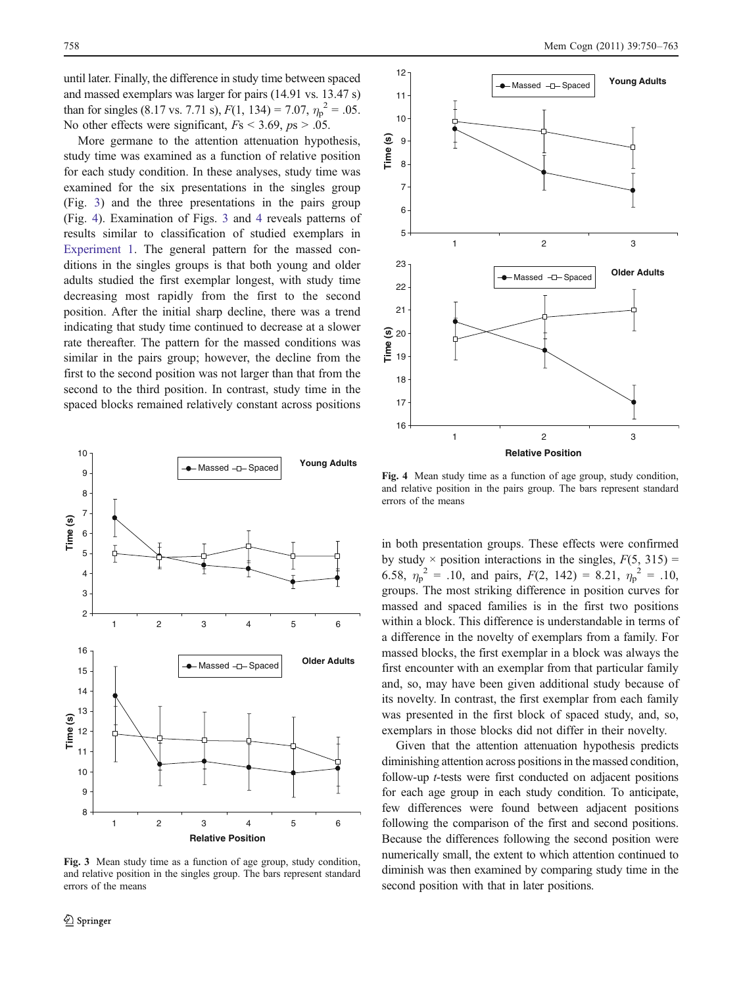until later. Finally, the difference in study time between spaced and massed exemplars was larger for pairs (14.91 vs. 13.47 s) than for singles (8.17 vs. 7.71 s),  $F(1, 134) = 7.07$ ,  $\eta_p^2 = .05$ . No other effects were significant,  $Fs < 3.69$ ,  $ps > .05$ .

More germane to the attention attenuation hypothesis, study time was examined as a function of relative position for each study condition. In these analyses, study time was examined for the six presentations in the singles group (Fig. 3) and the three presentations in the pairs group (Fig. 4). Examination of Figs. 3 and 4 reveals patterns of results similar to classification of studied exemplars in [Experiment 1](#page-2-0). The general pattern for the massed conditions in the singles groups is that both young and older adults studied the first exemplar longest, with study time decreasing most rapidly from the first to the second position. After the initial sharp decline, there was a trend indicating that study time continued to decrease at a slower rate thereafter. The pattern for the massed conditions was similar in the pairs group; however, the decline from the first to the second position was not larger than that from the second to the third position. In contrast, study time in the spaced blocks remained relatively constant across positions



Fig. 3 Mean study time as a function of age group, study condition, and relative position in the singles group. The bars represent standard errors of the means



Fig. 4 Mean study time as a function of age group, study condition, and relative position in the pairs group. The bars represent standard errors of the means

in both presentation groups. These effects were confirmed by study  $\times$  position interactions in the singles,  $F(5, 315) =$ 6.58,  $\eta_p^2 = 0.10$ , and pairs,  $F(2, 142) = 8.21$ ,  $\eta_p^2 = 0.10$ , groups. The most striking difference in position curves for massed and spaced families is in the first two positions within a block. This difference is understandable in terms of a difference in the novelty of exemplars from a family. For massed blocks, the first exemplar in a block was always the first encounter with an exemplar from that particular family and, so, may have been given additional study because of its novelty. In contrast, the first exemplar from each family was presented in the first block of spaced study, and, so, exemplars in those blocks did not differ in their novelty.

Given that the attention attenuation hypothesis predicts diminishing attention across positions in the massed condition, follow-up t-tests were first conducted on adjacent positions for each age group in each study condition. To anticipate, few differences were found between adjacent positions following the comparison of the first and second positions. Because the differences following the second position were numerically small, the extent to which attention continued to diminish was then examined by comparing study time in the second position with that in later positions.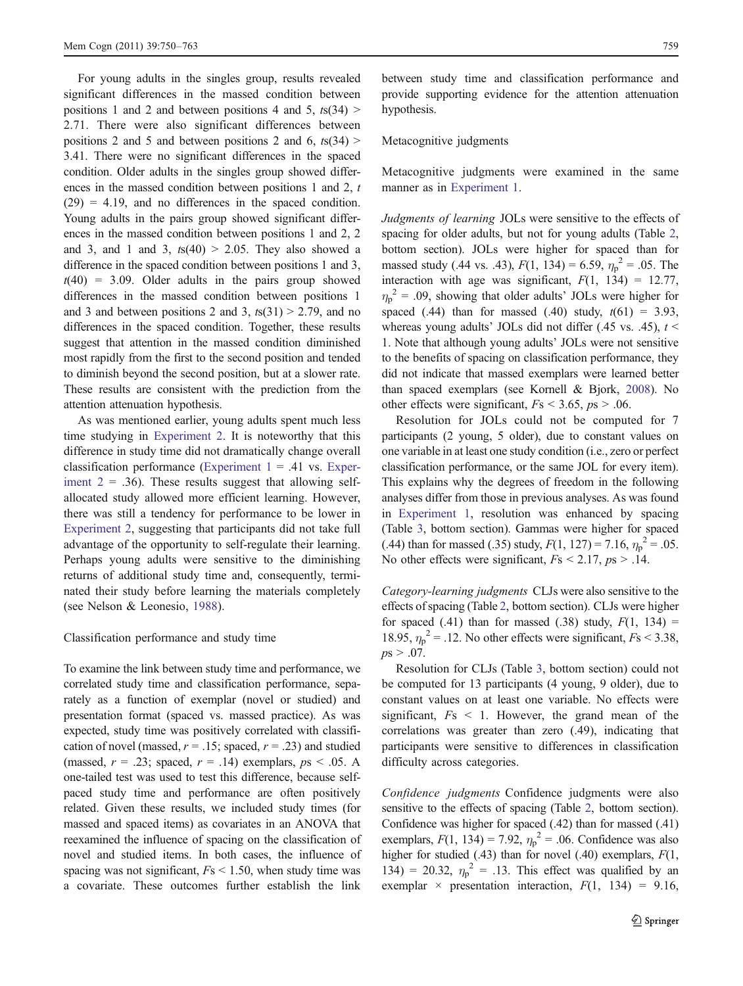For young adults in the singles group, results revealed significant differences in the massed condition between positions 1 and 2 and between positions 4 and 5,  $t s(34)$  > 2.71. There were also significant differences between positions 2 and 5 and between positions 2 and 6,  $t s(34)$  > 3.41. There were no significant differences in the spaced condition. Older adults in the singles group showed differences in the massed condition between positions 1 and 2, t  $(29) = 4.19$ , and no differences in the spaced condition. Young adults in the pairs group showed significant differences in the massed condition between positions 1 and 2, 2 and 3, and 1 and 3,  $ts(40) > 2.05$ . They also showed a difference in the spaced condition between positions 1 and 3,  $t(40) = 3.09$ . Older adults in the pairs group showed differences in the massed condition between positions 1 and 3 and between positions 2 and 3,  $ts(31) > 2.79$ , and no differences in the spaced condition. Together, these results suggest that attention in the massed condition diminished most rapidly from the first to the second position and tended to diminish beyond the second position, but at a slower rate. These results are consistent with the prediction from the attention attenuation hypothesis.

As was mentioned earlier, young adults spent much less time studying in [Experiment 2.](#page-6-0) It is noteworthy that this difference in study time did not dramatically change overall classification performance (Experiment  $1 = .41$  vs. [Exper](#page-6-0)iment  $2 = .36$ ). These results suggest that allowing selfallocated study allowed more efficient learning. However, there was still a tendency for performance to be lower in [Experiment 2](#page-6-0), suggesting that participants did not take full advantage of the opportunity to self-regulate their learning. Perhaps young adults were sensitive to the diminishing returns of additional study time and, consequently, terminated their study before learning the materials completely (see Nelson & Leonesio, [1988\)](#page-13-0).

## Classification performance and study time

To examine the link between study time and performance, we correlated study time and classification performance, separately as a function of exemplar (novel or studied) and presentation format (spaced vs. massed practice). As was expected, study time was positively correlated with classification of novel (massed,  $r = .15$ ; spaced,  $r = .23$ ) and studied (massed,  $r = .23$ ; spaced,  $r = .14$ ) exemplars,  $ps < .05$ . A one-tailed test was used to test this difference, because selfpaced study time and performance are often positively related. Given these results, we included study times (for massed and spaced items) as covariates in an ANOVA that reexamined the influence of spacing on the classification of novel and studied items. In both cases, the influence of spacing was not significant,  $Fs < 1.50$ , when study time was a covariate. These outcomes further establish the link

between study time and classification performance and provide supporting evidence for the attention attenuation hypothesis.

# Metacognitive judgments

Metacognitive judgments were examined in the same manner as in [Experiment 1.](#page-2-0)

Judgments of learning JOLs were sensitive to the effects of spacing for older adults, but not for young adults (Table [2,](#page-5-0) bottom section). JOLs were higher for spaced than for massed study (.44 vs. .43),  $F(1, 134) = 6.59$ ,  $\eta_p^2 = .05$ . The interaction with age was significant,  $F(1, 134) = 12.77$ ,  $\eta_p^2$  = .09, showing that older adults' JOLs were higher for spaced (.44) than for massed (.40) study,  $t(61) = 3.93$ , whereas young adults' JOLs did not differ (.45 vs. .45),  $t <$ 1. Note that although young adults' JOLs were not sensitive to the benefits of spacing on classification performance, they did not indicate that massed exemplars were learned better than spaced exemplars (see Kornell & Bjork, [2008\)](#page-12-0). No other effects were significant,  $Fs \leq 3.65$ ,  $ps \geq .06$ .

Resolution for JOLs could not be computed for 7 participants (2 young, 5 older), due to constant values on one variable in at least one study condition (i.e., zero or perfect classification performance, or the same JOL for every item). This explains why the degrees of freedom in the following analyses differ from those in previous analyses. As was found in [Experiment 1](#page-2-0), resolution was enhanced by spacing (Table [3](#page-6-0), bottom section). Gammas were higher for spaced (.44) than for massed (.35) study,  $F(1, 127) = 7.16$ ,  $\eta_p^2 = .05$ . No other effects were significant,  $Fs < 2.17$ ,  $ps > .14$ .

Category-learning judgments CLJs were also sensitive to the effects of spacing (Table [2,](#page-5-0) bottom section). CLJs were higher for spaced (.41) than for massed (.38) study,  $F(1, 134) =$ 18.95,  $\eta_p^2$  = .12. No other effects were significant,  $Fs < 3.38$ ,  $ps > .07$ .

Resolution for CLJs (Table [3](#page-6-0), bottom section) could not be computed for 13 participants (4 young, 9 older), due to constant values on at least one variable. No effects were significant,  $Fs < 1$ . However, the grand mean of the correlations was greater than zero (.49), indicating that participants were sensitive to differences in classification difficulty across categories.

Confidence judgments Confidence judgments were also sensitive to the effects of spacing (Table [2](#page-5-0), bottom section). Confidence was higher for spaced (.42) than for massed (.41) exemplars,  $F(1, 134) = 7.92$ ,  $\eta_p^2 = .06$ . Confidence was also higher for studied (.43) than for novel (.40) exemplars,  $F(1, 4)$ 134) = 20.32,  $\eta_p^2$  = .13. This effect was qualified by an exemplar  $\times$  presentation interaction,  $F(1, 134) = 9.16$ ,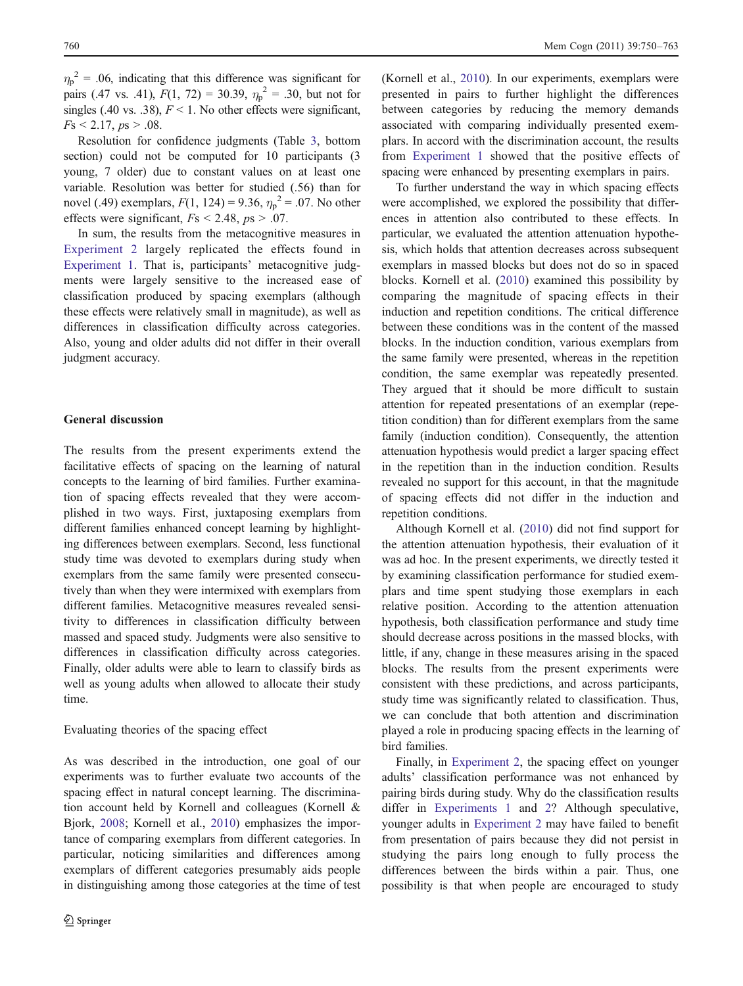<span id="page-10-0"></span> $\eta_p^2$  = .06, indicating that this difference was significant for pairs (.47 vs. .41),  $F(1, 72) = 30.39$ ,  $\eta_p^2 = .30$ , but not for singles (.40 vs. .38),  $F \le 1$ . No other effects were significant,  $Fs \leq 2.17, ps \geq .08.$ 

Resolution for confidence judgments (Table [3](#page-6-0), bottom section) could not be computed for 10 participants (3 young, 7 older) due to constant values on at least one variable. Resolution was better for studied (.56) than for novel (.49) exemplars,  $F(1, 124) = 9.36$ ,  $\eta_p^2 = .07$ . No other effects were significant,  $Fs < 2.48$ ,  $ps > .07$ .

In sum, the results from the metacognitive measures in [Experiment 2](#page-6-0) largely replicated the effects found in [Experiment 1](#page-2-0). That is, participants' metacognitive judgments were largely sensitive to the increased ease of classification produced by spacing exemplars (although these effects were relatively small in magnitude), as well as differences in classification difficulty across categories. Also, young and older adults did not differ in their overall judgment accuracy.

## General discussion

The results from the present experiments extend the facilitative effects of spacing on the learning of natural concepts to the learning of bird families. Further examination of spacing effects revealed that they were accomplished in two ways. First, juxtaposing exemplars from different families enhanced concept learning by highlighting differences between exemplars. Second, less functional study time was devoted to exemplars during study when exemplars from the same family were presented consecutively than when they were intermixed with exemplars from different families. Metacognitive measures revealed sensitivity to differences in classification difficulty between massed and spaced study. Judgments were also sensitive to differences in classification difficulty across categories. Finally, older adults were able to learn to classify birds as well as young adults when allowed to allocate their study time.

## Evaluating theories of the spacing effect

As was described in the introduction, one goal of our experiments was to further evaluate two accounts of the spacing effect in natural concept learning. The discrimination account held by Kornell and colleagues (Kornell & Bjork, [2008](#page-12-0); Kornell et al., [2010](#page-12-0)) emphasizes the importance of comparing exemplars from different categories. In particular, noticing similarities and differences among exemplars of different categories presumably aids people in distinguishing among those categories at the time of test

(Kornell et al., [2010](#page-12-0)). In our experiments, exemplars were presented in pairs to further highlight the differences between categories by reducing the memory demands associated with comparing individually presented exemplars. In accord with the discrimination account, the results from [Experiment 1](#page-2-0) showed that the positive effects of spacing were enhanced by presenting exemplars in pairs.

To further understand the way in which spacing effects were accomplished, we explored the possibility that differences in attention also contributed to these effects. In particular, we evaluated the attention attenuation hypothesis, which holds that attention decreases across subsequent exemplars in massed blocks but does not do so in spaced blocks. Kornell et al. ([2010\)](#page-12-0) examined this possibility by comparing the magnitude of spacing effects in their induction and repetition conditions. The critical difference between these conditions was in the content of the massed blocks. In the induction condition, various exemplars from the same family were presented, whereas in the repetition condition, the same exemplar was repeatedly presented. They argued that it should be more difficult to sustain attention for repeated presentations of an exemplar (repetition condition) than for different exemplars from the same family (induction condition). Consequently, the attention attenuation hypothesis would predict a larger spacing effect in the repetition than in the induction condition. Results revealed no support for this account, in that the magnitude of spacing effects did not differ in the induction and repetition conditions.

Although Kornell et al. ([2010\)](#page-12-0) did not find support for the attention attenuation hypothesis, their evaluation of it was ad hoc. In the present experiments, we directly tested it by examining classification performance for studied exemplars and time spent studying those exemplars in each relative position. According to the attention attenuation hypothesis, both classification performance and study time should decrease across positions in the massed blocks, with little, if any, change in these measures arising in the spaced blocks. The results from the present experiments were consistent with these predictions, and across participants, study time was significantly related to classification. Thus, we can conclude that both attention and discrimination played a role in producing spacing effects in the learning of bird families.

Finally, in [Experiment 2,](#page-6-0) the spacing effect on younger adults' classification performance was not enhanced by pairing birds during study. Why do the classification results differ in [Experiments 1](#page-2-0) and [2](#page-6-0)? Although speculative, younger adults in [Experiment 2](#page-6-0) may have failed to benefit from presentation of pairs because they did not persist in studying the pairs long enough to fully process the differences between the birds within a pair. Thus, one possibility is that when people are encouraged to study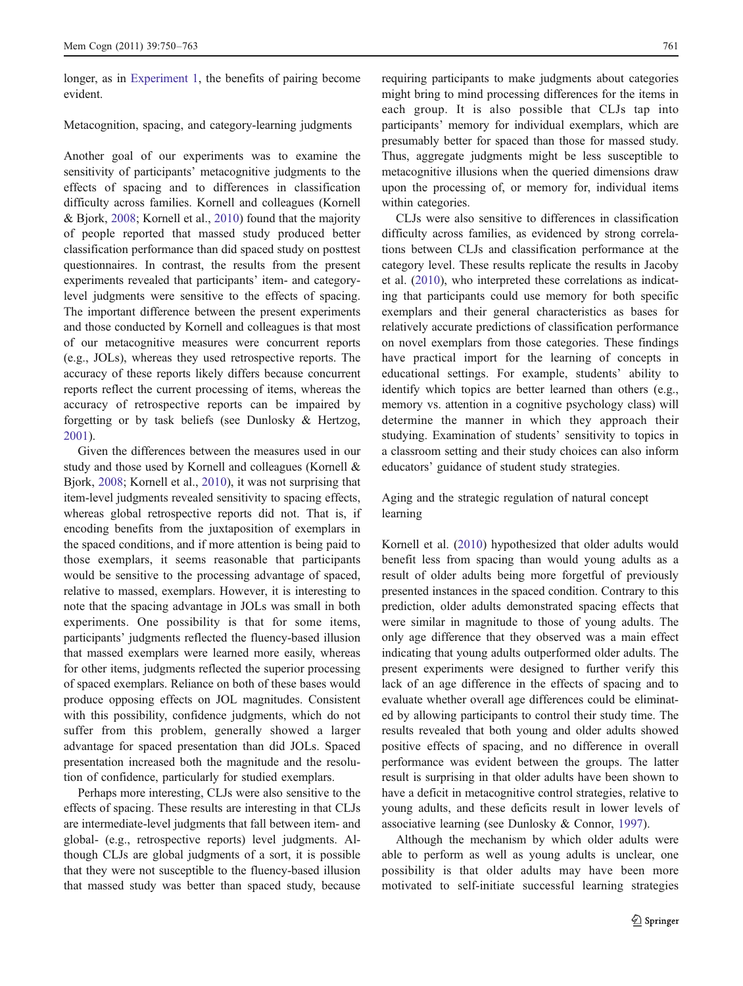longer, as in [Experiment 1](#page-2-0), the benefits of pairing become evident.

# Metacognition, spacing, and category-learning judgments

Another goal of our experiments was to examine the sensitivity of participants' metacognitive judgments to the effects of spacing and to differences in classification difficulty across families. Kornell and colleagues (Kornell & Bjork, [2008](#page-12-0); Kornell et al., [2010\)](#page-12-0) found that the majority of people reported that massed study produced better classification performance than did spaced study on posttest questionnaires. In contrast, the results from the present experiments revealed that participants' item- and categorylevel judgments were sensitive to the effects of spacing. The important difference between the present experiments and those conducted by Kornell and colleagues is that most of our metacognitive measures were concurrent reports (e.g., JOLs), whereas they used retrospective reports. The accuracy of these reports likely differs because concurrent reports reflect the current processing of items, whereas the accuracy of retrospective reports can be impaired by forgetting or by task beliefs (see Dunlosky & Hertzog, [2001\)](#page-12-0).

Given the differences between the measures used in our study and those used by Kornell and colleagues (Kornell & Bjork, [2008;](#page-12-0) Kornell et al., [2010\)](#page-12-0), it was not surprising that item-level judgments revealed sensitivity to spacing effects, whereas global retrospective reports did not. That is, if encoding benefits from the juxtaposition of exemplars in the spaced conditions, and if more attention is being paid to those exemplars, it seems reasonable that participants would be sensitive to the processing advantage of spaced, relative to massed, exemplars. However, it is interesting to note that the spacing advantage in JOLs was small in both experiments. One possibility is that for some items, participants' judgments reflected the fluency-based illusion that massed exemplars were learned more easily, whereas for other items, judgments reflected the superior processing of spaced exemplars. Reliance on both of these bases would produce opposing effects on JOL magnitudes. Consistent with this possibility, confidence judgments, which do not suffer from this problem, generally showed a larger advantage for spaced presentation than did JOLs. Spaced presentation increased both the magnitude and the resolution of confidence, particularly for studied exemplars.

Perhaps more interesting, CLJs were also sensitive to the effects of spacing. These results are interesting in that CLJs are intermediate-level judgments that fall between item- and global- (e.g., retrospective reports) level judgments. Although CLJs are global judgments of a sort, it is possible that they were not susceptible to the fluency-based illusion that massed study was better than spaced study, because requiring participants to make judgments about categories might bring to mind processing differences for the items in each group. It is also possible that CLJs tap into participants' memory for individual exemplars, which are presumably better for spaced than those for massed study. Thus, aggregate judgments might be less susceptible to metacognitive illusions when the queried dimensions draw upon the processing of, or memory for, individual items within categories.

CLJs were also sensitive to differences in classification difficulty across families, as evidenced by strong correlations between CLJs and classification performance at the category level. These results replicate the results in Jacoby et al. ([2010\)](#page-12-0), who interpreted these correlations as indicating that participants could use memory for both specific exemplars and their general characteristics as bases for relatively accurate predictions of classification performance on novel exemplars from those categories. These findings have practical import for the learning of concepts in educational settings. For example, students' ability to identify which topics are better learned than others (e.g., memory vs. attention in a cognitive psychology class) will determine the manner in which they approach their studying. Examination of students' sensitivity to topics in a classroom setting and their study choices can also inform educators' guidance of student study strategies.

Aging and the strategic regulation of natural concept learning

Kornell et al. [\(2010](#page-12-0)) hypothesized that older adults would benefit less from spacing than would young adults as a result of older adults being more forgetful of previously presented instances in the spaced condition. Contrary to this prediction, older adults demonstrated spacing effects that were similar in magnitude to those of young adults. The only age difference that they observed was a main effect indicating that young adults outperformed older adults. The present experiments were designed to further verify this lack of an age difference in the effects of spacing and to evaluate whether overall age differences could be eliminated by allowing participants to control their study time. The results revealed that both young and older adults showed positive effects of spacing, and no difference in overall performance was evident between the groups. The latter result is surprising in that older adults have been shown to have a deficit in metacognitive control strategies, relative to young adults, and these deficits result in lower levels of associative learning (see Dunlosky & Connor, [1997\)](#page-12-0).

Although the mechanism by which older adults were able to perform as well as young adults is unclear, one possibility is that older adults may have been more motivated to self-initiate successful learning strategies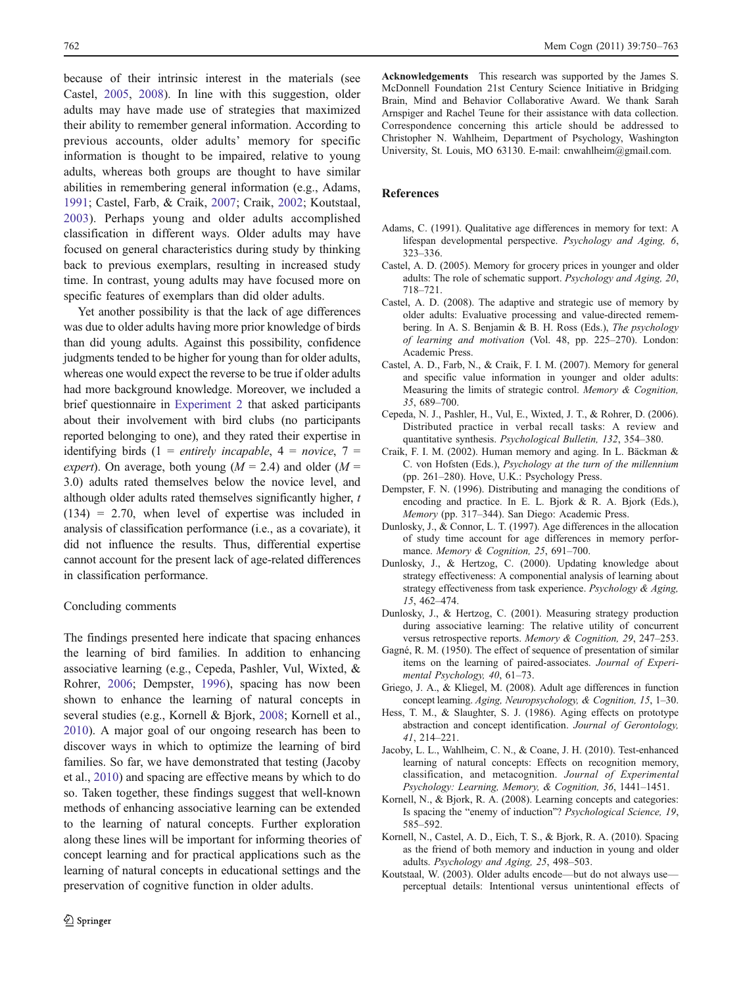<span id="page-12-0"></span>because of their intrinsic interest in the materials (see Castel, 2005, 2008). In line with this suggestion, older adults may have made use of strategies that maximized their ability to remember general information. According to previous accounts, older adults' memory for specific information is thought to be impaired, relative to young adults, whereas both groups are thought to have similar abilities in remembering general information (e.g., Adams, 1991; Castel, Farb, & Craik, 2007; Craik, 2002; Koutstaal, 2003). Perhaps young and older adults accomplished classification in different ways. Older adults may have focused on general characteristics during study by thinking back to previous exemplars, resulting in increased study time. In contrast, young adults may have focused more on specific features of exemplars than did older adults.

Yet another possibility is that the lack of age differences was due to older adults having more prior knowledge of birds than did young adults. Against this possibility, confidence judgments tended to be higher for young than for older adults, whereas one would expect the reverse to be true if older adults had more background knowledge. Moreover, we included a brief questionnaire in [Experiment 2](#page-6-0) that asked participants about their involvement with bird clubs (no participants reported belonging to one), and they rated their expertise in identifying birds (1 = entirely incapable,  $4 = n$ ovice, 7 = expert). On average, both young ( $M = 2.4$ ) and older ( $M =$ 3.0) adults rated themselves below the novice level, and although older adults rated themselves significantly higher,  $t$  $(134) = 2.70$ , when level of expertise was included in analysis of classification performance (i.e., as a covariate), it did not influence the results. Thus, differential expertise cannot account for the present lack of age-related differences in classification performance.

#### Concluding comments

The findings presented here indicate that spacing enhances the learning of bird families. In addition to enhancing associative learning (e.g., Cepeda, Pashler, Vul, Wixted, & Rohrer, 2006; Dempster, 1996), spacing has now been shown to enhance the learning of natural concepts in several studies (e.g., Kornell & Bjork, 2008; Kornell et al., 2010). A major goal of our ongoing research has been to discover ways in which to optimize the learning of bird families. So far, we have demonstrated that testing (Jacoby et al., 2010) and spacing are effective means by which to do so. Taken together, these findings suggest that well-known methods of enhancing associative learning can be extended to the learning of natural concepts. Further exploration along these lines will be important for informing theories of concept learning and for practical applications such as the learning of natural concepts in educational settings and the preservation of cognitive function in older adults.

Acknowledgements This research was supported by the James S. McDonnell Foundation 21st Century Science Initiative in Bridging Brain, Mind and Behavior Collaborative Award. We thank Sarah Arnspiger and Rachel Teune for their assistance with data collection. Correspondence concerning this article should be addressed to Christopher N. Wahlheim, Department of Psychology, Washington University, St. Louis, MO 63130. E-mail: cnwahlheim@gmail.com.

#### References

- Adams, C. (1991). Qualitative age differences in memory for text: A lifespan developmental perspective. Psychology and Aging, 6, 323–336.
- Castel, A. D. (2005). Memory for grocery prices in younger and older adults: The role of schematic support. Psychology and Aging, 20, 718–721.
- Castel, A. D. (2008). The adaptive and strategic use of memory by older adults: Evaluative processing and value-directed remembering. In A. S. Benjamin & B. H. Ross (Eds.), The psychology of learning and motivation (Vol. 48, pp. 225–270). London: Academic Press.
- Castel, A. D., Farb, N., & Craik, F. I. M. (2007). Memory for general and specific value information in younger and older adults: Measuring the limits of strategic control. Memory & Cognition, 35, 689–700.
- Cepeda, N. J., Pashler, H., Vul, E., Wixted, J. T., & Rohrer, D. (2006). Distributed practice in verbal recall tasks: A review and quantitative synthesis. Psychological Bulletin, 132, 354–380.
- Craik, F. I. M. (2002). Human memory and aging. In L. Bäckman & C. von Hofsten (Eds.), Psychology at the turn of the millennium (pp. 261–280). Hove, U.K.: Psychology Press.
- Dempster, F. N. (1996). Distributing and managing the conditions of encoding and practice. In E. L. Bjork & R. A. Bjork (Eds.), Memory (pp. 317–344). San Diego: Academic Press.
- Dunlosky, J., & Connor, L. T. (1997). Age differences in the allocation of study time account for age differences in memory performance. Memory & Cognition, 25, 691-700.
- Dunlosky, J., & Hertzog, C. (2000). Updating knowledge about strategy effectiveness: A componential analysis of learning about strategy effectiveness from task experience. Psychology & Aging, 15, 462–474.
- Dunlosky, J., & Hertzog, C. (2001). Measuring strategy production during associative learning: The relative utility of concurrent versus retrospective reports. Memory & Cognition, 29, 247–253.
- Gagné, R. M. (1950). The effect of sequence of presentation of similar items on the learning of paired-associates. Journal of Experimental Psychology, 40, 61–73.
- Griego, J. A., & Kliegel, M. (2008). Adult age differences in function concept learning. Aging, Neuropsychology, & Cognition, 15, 1–30.
- Hess, T. M., & Slaughter, S. J. (1986). Aging effects on prototype abstraction and concept identification. Journal of Gerontology, 41, 214–221.
- Jacoby, L. L., Wahlheim, C. N., & Coane, J. H. (2010). Test-enhanced learning of natural concepts: Effects on recognition memory, classification, and metacognition. Journal of Experimental Psychology: Learning, Memory, & Cognition, 36, 1441–1451.
- Kornell, N., & Bjork, R. A. (2008). Learning concepts and categories: Is spacing the "enemy of induction"? Psychological Science, 19, 585–592.
- Kornell, N., Castel, A. D., Eich, T. S., & Bjork, R. A. (2010). Spacing as the friend of both memory and induction in young and older adults. Psychology and Aging, 25, 498–503.
- Koutstaal, W. (2003). Older adults encode—but do not always use perceptual details: Intentional versus unintentional effects of